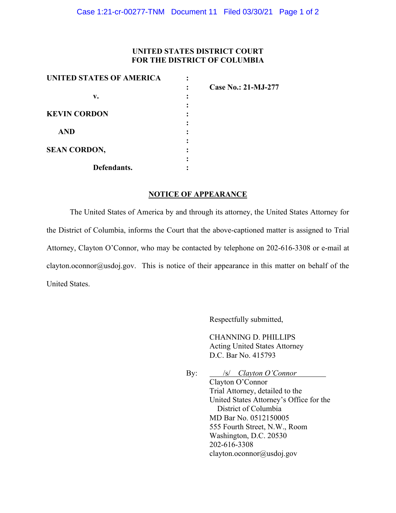## **UNITED STATES DISTRICT COURT FOR THE DISTRICT OF COLUMBIA**

| UNITED STATES OF AMERICA |                            |
|--------------------------|----------------------------|
|                          | <b>Case No.: 21-MJ-277</b> |
| v.                       |                            |
|                          |                            |
| <b>KEVIN CORDON</b>      |                            |
|                          |                            |
| <b>AND</b>               |                            |
|                          |                            |
| <b>SEAN CORDON,</b>      |                            |
|                          |                            |
| Defendants.              |                            |

## **NOTICE OF APPEARANCE**

The United States of America by and through its attorney, the United States Attorney for the District of Columbia, informs the Court that the above-captioned matter is assigned to Trial Attorney, Clayton O'Connor, who may be contacted by telephone on 202-616-3308 or e-mail at clayton.oconnor@usdoj.gov. This is notice of their appearance in this matter on behalf of the United States.

Respectfully submitted,

CHANNING D. PHILLIPS Acting United States Attorney D.C. Bar No. 415793

By: /s/ *Clayton O'Connor*

Clayton O'Connor Trial Attorney, detailed to the United States Attorney's Office for the District of Columbia MD Bar No. 0512150005 555 Fourth Street, N.W., Room Washington, D.C. 20530 202-616-3308 clayton.oconnor@usdoj.gov